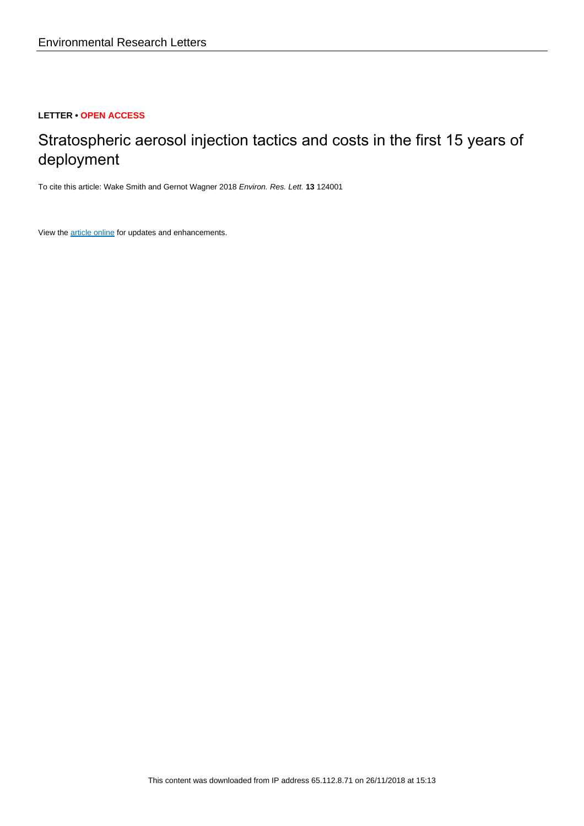# **LETTER • OPEN ACCESS**

# Stratospheric aerosol injection tactics and costs in the first 15 years of deployment

To cite this article: Wake Smith and Gernot Wagner 2018 Environ. Res. Lett. **13** 124001

View the [article online](https://doi.org/10.1088/1748-9326/aae98d) for updates and enhancements.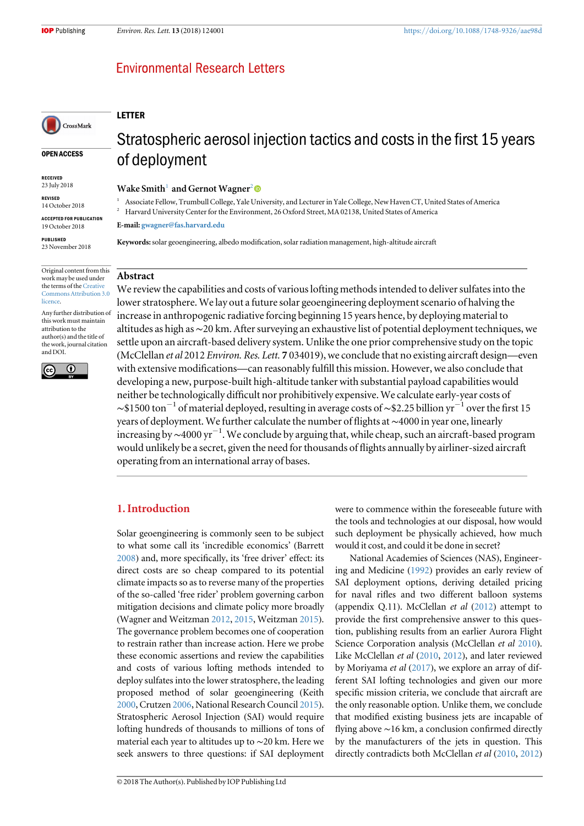# **Environmental Research Letters**

## LETTER

#### OPEN ACCESS

CrossMark

RECEIVED 23 July 2018

REVISED 14 October 2018

ACCEPTED FOR PUBLICATION 19 October 2018

PUBLISHED 23 November 2018

Original content from this work may be used under the terms of the [Creative](http://creativecommons.org/licenses/by/3.0) [Commons Attribution 3.0](http://creativecommons.org/licenses/by/3.0) [licence.](http://creativecommons.org/licenses/by/3.0)

Any further distribution of this work must maintain attribution to the author(s) and the title of the work, journal citation and DOI.



# Stratospheric aerosol injection tactics and costs in the first 15 years of deployment

Wake Smith<sup>1</sup> and Gernot Wagner<sup>2</sup>

<sup>1</sup> Associate Fellow, Trumbull College, Yale University, and Lecturer in Yale College, New Haven CT, United States of America

<sup>2</sup> Harvard University Center for the Environment, 26 Oxford Street, MA 02138, United States of America

E-mail: [gwagner@fas.harvard.edu](mailto:gwagner@fas.harvard.edu)

Keywords: solar geoengineering, albedo modification, solar radiation management, high-altitude aircraft

## Abstract

We review the capabilities and costs of various lofting methods intended to deliver sulfates into the lower stratosphere. We lay out a future solar geoengineering deployment scenario of halving the increase in anthropogenic radiative forcing beginning 15 years hence, by deploying material to altitudes as high as∼20 km. After surveying an exhaustive list of potential deployment techniques, we settle upon an aircraft-based delivery system. Unlike the one prior comprehensive study on the topic (McClellan et al 2012 Environ. Res. Lett. 7 034019), we conclude that no existing aircraft design—even with extensive modifications—can reasonably fulfill this mission. However, we also conclude that developing a new, purpose-built high-altitude tanker with substantial payload capabilities would neither be technologically difficult nor prohibitively expensive. We calculate early-year costs of  $\sim$ \$1500 ton<sup>-1</sup> of material deployed, resulting in average costs of  $\sim$ \$2.25 billion yr<sup>-1</sup> over the first 15 years of deployment. We further calculate the number of flights at∼4000 in year one, linearly .<br>increasing by ~4000 yr<sup>−1</sup>. We conclude by arguing that, while cheap, such an aircraft-based program would unlikely be a secret, given the need for thousands of flights annually by airliner-sized aircraft operating from an international array of bases.

## 1. Introduction

Solar geoengineering is commonly seen to be subject to what some call its 'incredible economics' (Barrett [2008](#page-10-0)) and, more specifically, its 'free driver' effect: its direct costs are so cheap compared to its potential climate impacts so as to reverse many of the properties of the so-called 'free rider' problem governing carbon mitigation decisions and climate policy more broadly (Wagner and Weitzman [2012,](#page-11-0) [2015](#page-11-0), Weitzman [2015](#page-11-0)). The governance problem becomes one of cooperation to restrain rather than increase action. Here we probe these economic assertions and review the capabilities and costs of various lofting methods intended to deploy sulfates into the lower stratosphere, the leading proposed method of solar geoengineering (Keith [2000](#page-10-0), Crutzen [2006](#page-10-0), National Research Council [2015](#page-10-0)). Stratospheric Aerosol Injection (SAI) would require lofting hundreds of thousands to millions of tons of material each year to altitudes up to ∼20 km. Here we seek answers to three questions: if SAI deployment were to commence within the foreseeable future with the tools and technologies at our disposal, how would such deployment be physically achieved, how much would it cost, and could it be done in secret?

National Academies of Sciences (NAS), Engineering and Medicine ([1992](#page-10-0)) provides an early review of SAI deployment options, deriving detailed pricing for naval rifles and two different balloon systems (appendix Q.11). McClellan *et al*  $(2012)$  $(2012)$  $(2012)$  attempt to provide the first comprehensive answer to this question, publishing results from an earlier Aurora Flight Science Corporation analysis (McClellan et al [2010](#page-10-0)). Like McClellan et al ([2010,](#page-10-0) [2012](#page-10-0)), and later reviewed by Moriyama et al ([2017](#page-10-0)), we explore an array of different SAI lofting technologies and given our more specific mission criteria, we conclude that aircraft are the only reasonable option. Unlike them, we conclude that modified existing business jets are incapable of flying above ∼16 km, a conclusion confirmed directly by the manufacturers of the jets in question. This directly contradicts both McClellan et al ([2010,](#page-10-0) [2012](#page-10-0))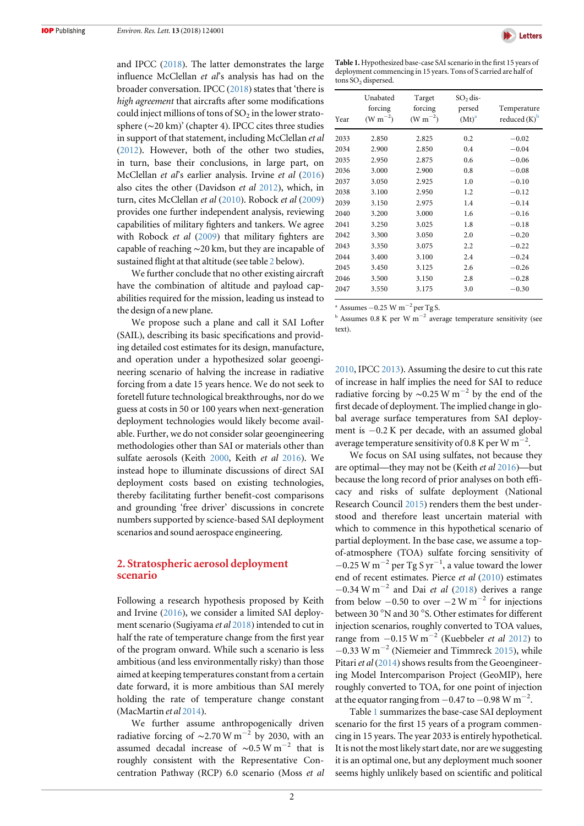<span id="page-2-0"></span>and IPCC ([2018](#page-10-0)). The latter demonstrates the large influence McClellan et al's analysis has had on the broader conversation. IPCC ([2018](#page-10-0)) states that 'there is high agreement that aircrafts after some modifications could inject millions of tons of  $SO<sub>2</sub>$  in the lower stratosphere (∼20 km)' (chapter 4). IPCC cites three studies in support of that statement, including McClellan et al ([2012](#page-10-0)). However, both of the other two studies, in turn, base their conclusions, in large part, on McClellan et al's earlier analysis. Irvine et al ([2016](#page-10-0)) also cites the other (Davidson et al [2012](#page-10-0)), which, in turn, cites McClellan et al ([2010](#page-10-0)). Robock et al ([2009](#page-11-0)) provides one further independent analysis, reviewing capabilities of military fighters and tankers. We agree with Robock et al ([2009](#page-11-0)) that military fighters are capable of reaching ∼20 km, but they are incapable of sustained flight at that altitude (see table [2](#page-4-0) below).

We further conclude that no other existing aircraft have the combination of altitude and payload capabilities required for the mission, leading us instead to the design of a new plane.

We propose such a plane and call it SAI Lofter (SAIL), describing its basic specifications and providing detailed cost estimates for its design, manufacture, and operation under a hypothesized solar geoengineering scenario of halving the increase in radiative forcing from a date 15 years hence. We do not seek to foretell future technological breakthroughs, nor do we guess at costs in 50 or 100 years when next-generation deployment technologies would likely become available. Further, we do not consider solar geoengineering methodologies other than SAI or materials other than sulfate aerosols (Keith [2000](#page-10-0), Keith et al [2016](#page-10-0)). We instead hope to illuminate discussions of direct SAI deployment costs based on existing technologies, thereby facilitating further benefit-cost comparisons and grounding 'free driver' discussions in concrete numbers supported by science-based SAI deployment scenarios and sound aerospace engineering.

## 2. Stratospheric aerosol deployment scenario

Following a research hypothesis proposed by Keith and Irvine ([2016](#page-10-0)), we consider a limited SAI deployment scenario (Sugiyama et al [2018](#page-11-0)) intended to cut in half the rate of temperature change from the first year of the program onward. While such a scenario is less ambitious (and less environmentally risky) than those aimed at keeping temperatures constant from a certain date forward, it is more ambitious than SAI merely holding the rate of temperature change constant (MacMartin et al [2014](#page-10-0)).

We further assume anthropogenically driven radiative forcing of ~2.70 W m<sup>-2</sup> by 2030, with an assumed decadal increase of  $\sim$ 0.5 W m<sup>-2</sup> that is roughly consistent with the Representative Concentration Pathway (RCP) 6.0 scenario (Moss et al



Table 1. Hypothesized base-case SAI scenario in the first 15 years of deployment commencing in 15 years. Tons of S carried are half of tons SO<sub>2</sub> dispersed.

| Year | Unabated<br>forcing<br>$(W m^{-2})$ | Target<br>forcing<br>$(W m^{-2})$ | $SO2$ dis-<br>persed<br>$(Mt)^a$ | Temperature<br>reduced $(K)^b$ |
|------|-------------------------------------|-----------------------------------|----------------------------------|--------------------------------|
| 2033 | 2.850                               | 2.825                             | 0.2                              | $-0.02$                        |
| 2034 | 2.900                               | 2.850                             | 0.4                              | $-0.04$                        |
| 2035 | 2.950                               | 2.875                             | 0.6                              | $-0.06$                        |
| 2036 | 3.000                               | 2.900                             | 0.8                              | $-0.08$                        |
| 2037 | 3.050                               | 2.925                             | 1.0                              | $-0.10$                        |
| 2038 | 3.100                               | 2.950                             | 1.2                              | $-0.12$                        |
| 2039 | 3.150                               | 2.975                             | 1.4                              | $-0.14$                        |
| 2040 | 3.200                               | 3.000                             | 1.6                              | $-0.16$                        |
| 2041 | 3.250                               | 3.025                             | 1.8                              | $-0.18$                        |
| 2042 | 3.300                               | 3.050                             | 2.0                              | $-0.20$                        |
| 2043 | 3.350                               | 3.075                             | 2.2                              | $-0.22$                        |
| 2044 | 3.400                               | 3.100                             | 2.4                              | $-0.24$                        |
| 2045 | 3.450                               | 3.125                             | 2.6                              | $-0.26$                        |
| 2046 | 3.500                               | 3.150                             | 2.8                              | $-0.28$                        |
| 2047 | 3.550                               | 3.175                             | 3.0                              | $-0.30$                        |
|      |                                     |                                   |                                  |                                |

<sup>a</sup> Assumes –0.25 W m<sup>-2</sup> per Tg S.

<sup>b</sup> Assumes 0.8 K per W m<sup>−2</sup> average temperature sensitivity (see text).

[2010,](#page-10-0) IPCC [2013](#page-10-0)). Assuming the desire to cut this rate of increase in half implies the need for SAI to reduce radiative forcing by ~0.25 W m<sup>-2</sup> by the end of the first decade of deployment. The implied change in global average surface temperatures from SAI deployment is −0.2 K per decade, with an assumed global average temperature sensitivity of 0.8 K per W m<sup>-2</sup>.

We focus on SAI using sulfates, not because they are optimal—they may not be (Keith et al [2016](#page-10-0))—but because the long record of prior analyses on both efficacy and risks of sulfate deployment (National Research Council [2015](#page-10-0)) renders them the best understood and therefore least uncertain material with which to commence in this hypothetical scenario of partial deployment. In the base case, we assume a topof-atmosphere (TOA) sulfate forcing sensitivity of −0.25 W m−<sup>2</sup> per Tg S yr−<sup>1</sup> , a value toward the lower end of recent estimates. Pierce et al ([2010](#page-10-0)) estimates  $-0.34$  W m<sup>-2</sup> and Dai *et al* ([2018](#page-10-0)) derives a range from below  $-0.50$  to over  $-2 \text{ W m}^{-2}$  for injections between 30 °N and 30 °S. Other estimates for different injection scenarios, roughly converted to TOA values, range from  $-0.15$  W m<sup>-2</sup> (Kuebbeler *et al* [2012](#page-10-0)) to −0.33 W m−<sup>2</sup> (Niemeier and Timmreck [2015](#page-10-0)), while Pitari et al  $(2014)$  $(2014)$  $(2014)$  shows results from the Geoengineering Model Intercomparison Project (GeoMIP), here roughly converted to TOA, for one point of injection at the equator ranging from  $-0.47$  to  $-0.98$  W m<sup>-2</sup>.

Table 1 summarizes the base-case SAI deployment scenario for the first 15 years of a program commencing in 15 years. The year 2033 is entirely hypothetical. It is not the most likely start date, nor are we suggesting it is an optimal one, but any deployment much sooner seems highly unlikely based on scientific and political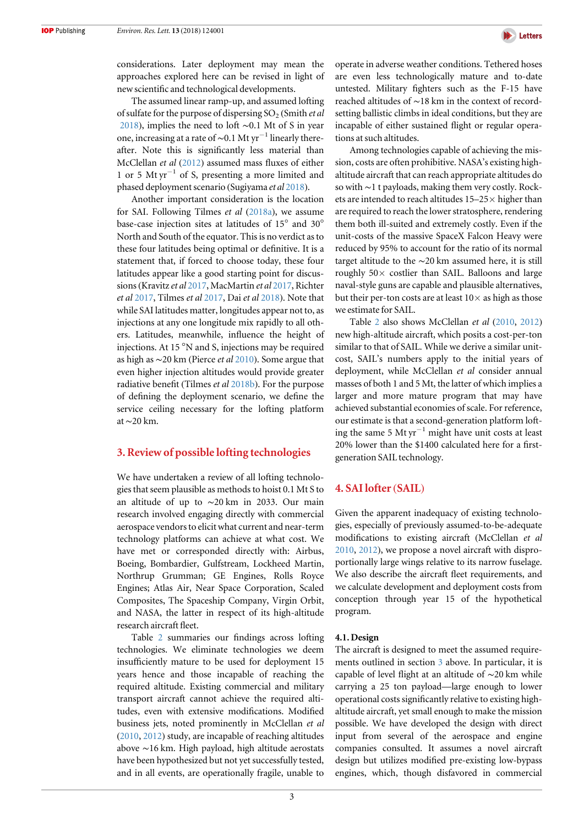<span id="page-3-0"></span>

The assumed linear ramp-up, and assumed lofting of sulfate for the purpose of dispersing  $SO<sub>2</sub>$  (Smith *et al*) [2018](#page-11-0)), implies the need to loft ∼0.1 Mt of S in year one, increasing at a rate of ~0.1 Mt yr<sup>-1</sup> linearly thereafter. Note this is significantly less material than McClellan et al ([2012](#page-10-0)) assumed mass fluxes of either 1 or 5 Mt yr−<sup>1</sup> of S, presenting a more limited and phased deployment scenario (Sugiyama et al [2018](#page-11-0)).

Another important consideration is the location for SAI. Following Tilmes et al ([2018a](#page-11-0)), we assume base-case injection sites at latitudes of 15° and 30° North and South of the equator. This is no verdict as to these four latitudes being optimal or definitive. It is a statement that, if forced to choose today, these four latitudes appear like a good starting point for discussions(Kravitz et al [2017,](#page-10-0) MacMartin et al [2017](#page-10-0), Richter et al [2017](#page-11-0), Tilmes et al [2017](#page-11-0), Dai et al [2018](#page-10-0)). Note that while SAI latitudes matter, longitudes appear not to, as injections at any one longitude mix rapidly to all others. Latitudes, meanwhile, influence the height of injections. At 15 °N and S, injections may be required as high as ∼20 km (Pierce et al [2010](#page-10-0)). Some argue that even higher injection altitudes would provide greater radiative benefit (Tilmes et al [2018b](#page-11-0)). For the purpose of defining the deployment scenario, we define the service ceiling necessary for the lofting platform at∼20 km.

## 3. Review of possible lofting technologies

We have undertaken a review of all lofting technologies that seem plausible as methods to hoist 0.1 Mt S to an altitude of up to ∼20 km in 2033. Our main research involved engaging directly with commercial aerospace vendors to elicit what current and near-term technology platforms can achieve at what cost. We have met or corresponded directly with: Airbus, Boeing, Bombardier, Gulfstream, Lockheed Martin, Northrup Grumman; GE Engines, Rolls Royce Engines; Atlas Air, Near Space Corporation, Scaled Composites, The Spaceship Company, Virgin Orbit, and NASA, the latter in respect of its high-altitude research aircraft fleet.

Table [2](#page-4-0) summaries our findings across lofting technologies. We eliminate technologies we deem insufficiently mature to be used for deployment 15 years hence and those incapable of reaching the required altitude. Existing commercial and military transport aircraft cannot achieve the required altitudes, even with extensive modifications. Modified business jets, noted prominently in McClellan et al ([2010](#page-10-0), [2012](#page-10-0)) study, are incapable of reaching altitudes above ∼16 km. High payload, high altitude aerostats have been hypothesized but not yet successfully tested, and in all events, are operationally fragile, unable to operate in adverse weather conditions. Tethered hoses are even less technologically mature and to-date untested. Military fighters such as the F-15 have reached altitudes of ∼18 km in the context of recordsetting ballistic climbs in ideal conditions, but they are incapable of either sustained flight or regular operations at such altitudes.

Among technologies capable of achieving the mission, costs are often prohibitive. NASA's existing highaltitude aircraft that can reach appropriate altitudes do so with ∼1 t payloads, making them very costly. Rockets are intended to reach altitudes 15–25× higher than are required to reach the lower stratosphere, rendering them both ill-suited and extremely costly. Even if the unit-costs of the massive SpaceX Falcon Heavy were reduced by 95% to account for the ratio of its normal target altitude to the ∼20 km assumed here, it is still roughly  $50\times$  costlier than SAIL. Balloons and large naval-style guns are capable and plausible alternatives, but their per-ton costs are at least  $10\times$  as high as those we estimate for SAIL.

Table [2](#page-4-0) also shows McClellan et al ([2010,](#page-10-0) [2012](#page-10-0)) new high-altitude aircraft, which posits a cost-per-ton similar to that of SAIL. While we derive a similar unitcost, SAIL's numbers apply to the initial years of deployment, while McClellan et al consider annual masses of both 1 and 5 Mt, the latter of which implies a larger and more mature program that may have achieved substantial economies of scale. For reference, our estimate is that a second-generation platform lofting the same 5 Mt  $yr^{-1}$  might have unit costs at least 20% lower than the \$1400 calculated here for a firstgeneration SAIL technology.

## 4. SAI lofter(SAIL)

Given the apparent inadequacy of existing technologies, especially of previously assumed-to-be-adequate modifications to existing aircraft (McClellan et al [2010,](#page-10-0) [2012](#page-10-0)), we propose a novel aircraft with disproportionally large wings relative to its narrow fuselage. We also describe the aircraft fleet requirements, and we calculate development and deployment costs from conception through year 15 of the hypothetical program.

#### 4.1. Design

The aircraft is designed to meet the assumed requirements outlined in section 3 above. In particular, it is capable of level flight at an altitude of ∼20 km while carrying a 25 ton payload—large enough to lower operational costs significantly relative to existing highaltitude aircraft, yet small enough to make the mission possible. We have developed the design with direct input from several of the aerospace and engine companies consulted. It assumes a novel aircraft design but utilizes modified pre-existing low-bypass engines, which, though disfavored in commercial



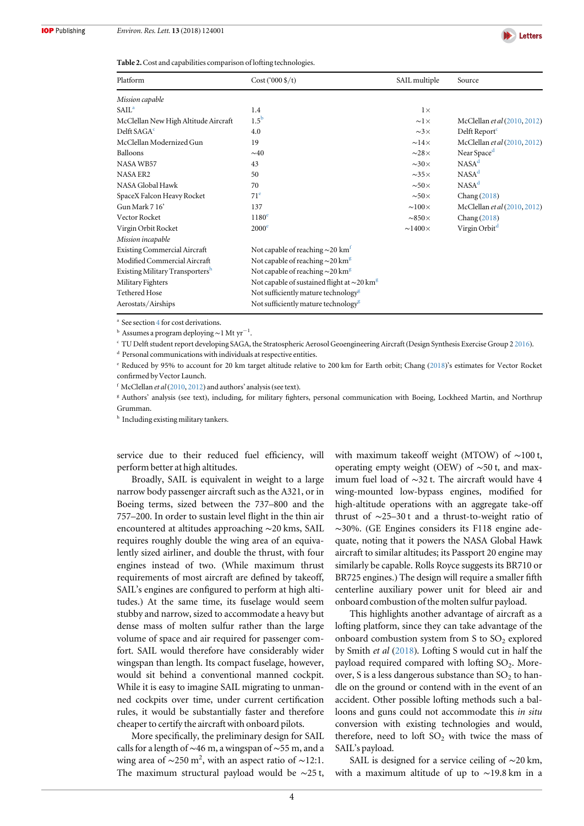

<span id="page-4-0"></span>Table 2. Cost and capabilities comparison of lofting technologies.

| Platform                                    | $Cost('000 \frac{4}{5})$                                     | SAIL multiple        | Source                              |
|---------------------------------------------|--------------------------------------------------------------|----------------------|-------------------------------------|
| Mission capable                             |                                                              |                      |                                     |
| SAIL <sup>a</sup>                           | 1.4                                                          | $1\times$            |                                     |
| McClellan New High Altitude Aircraft        | $1.5^{\rm b}$                                                | $\sim1\times$        | McClellan <i>et al</i> (2010, 2012) |
| Delft SAGA <sup>c</sup>                     | 4.0                                                          | $\sim3\times$        | Delft Report <sup>c</sup>           |
| McClellan Modernized Gun                    | 19                                                           | $\sim$ 14 $\times$   | McClellan et al (2010, 2012)        |
| Balloons                                    | $\sim 40$                                                    | $\sim28\times$       | Near Space <sup>d</sup>             |
| NASA WB57                                   | 43                                                           | $\sim 30 \times$     | NASA <sup>d</sup>                   |
| <b>NASA ER2</b>                             | 50                                                           | $\sim35\times$       | NASA <sup>d</sup>                   |
| NASA Global Hawk                            | 70                                                           | $\sim 50 \times$     | NASA <sup>d</sup>                   |
| SpaceX Falcon Heavy Rocket                  | 71 <sup>e</sup>                                              | $\sim 50 \times$     | Chang(2018)                         |
| Gun Mark 716'                               | 137                                                          | $\sim100\times$      | McClellan et al (2010, 2012)        |
| Vector Rocket                               | 1180 <sup>e</sup>                                            | $\sim$ 850 $\times$  | Chang(2018)                         |
| Virgin Orbit Rocket                         | $2000^e$                                                     | $\sim$ 1400 $\times$ | Virgin Orbit <sup>d</sup>           |
| Mission incapable                           |                                                              |                      |                                     |
| <b>Existing Commercial Aircraft</b>         | Not capable of reaching $\sim$ 20 km <sup>t</sup>            |                      |                                     |
| Modified Commercial Aircraft                | Not capable of reaching $\sim$ 20 km <sup>g</sup>            |                      |                                     |
| Existing Military Transporters <sup>h</sup> | Not capable of reaching $\sim$ 20 km <sup>g</sup>            |                      |                                     |
| Military Fighters                           | Not capable of sustained flight at $\sim$ 20 km <sup>g</sup> |                      |                                     |
| Tethered Hose                               | Not sufficiently mature technology <sup>8</sup>              |                      |                                     |
| Aerostats/Airships                          | Not sufficiently mature technology <sup>8</sup>              |                      |                                     |

<sup>a</sup> See section [4](#page-3-0) for cost derivations.

<sup>b</sup> Assumes a program deploying∼1 Mt yr−<sup>1</sup> .

<sup>c</sup> TU Delft student report developing SAGA, the Stratospheric Aerosol Geoengineering Aircraft (Design Synthesis Exercise Group 2 [2016](#page-10-0)).

<sup>d</sup> Personal communications with individuals at respective entities.

<sup>e</sup> Reduced by 95% to account for 20 km target altitude relative to 200 km for Earth orbit; Chang ([2018](#page-10-0))'s estimates for Vector Rocket confirmed by Vector Launch.

 $f$  McClellan et al ([2010,](#page-10-0) [2012](#page-10-0)) and authors' analysis (see text).

<sup>g</sup> Authors' analysis (see text), including, for military fighters, personal communication with Boeing, Lockheed Martin, and Northrup Grumman.

 $^{\rm h}$  Including existing military tankers.

service due to their reduced fuel efficiency, will perform better at high altitudes.

Broadly, SAIL is equivalent in weight to a large narrow body passenger aircraft such as the A321, or in Boeing terms, sized between the 737–800 and the 757–200. In order to sustain level flight in the thin air encountered at altitudes approaching ∼20 kms, SAIL requires roughly double the wing area of an equivalently sized airliner, and double the thrust, with four engines instead of two. (While maximum thrust requirements of most aircraft are defined by takeoff, SAIL's engines are configured to perform at high altitudes.) At the same time, its fuselage would seem stubby and narrow, sized to accommodate a heavy but dense mass of molten sulfur rather than the large volume of space and air required for passenger comfort. SAIL would therefore have considerably wider wingspan than length. Its compact fuselage, however, would sit behind a conventional manned cockpit. While it is easy to imagine SAIL migrating to unmanned cockpits over time, under current certification rules, it would be substantially faster and therefore cheaper to certify the aircraft with onboard pilots.

More specifically, the preliminary design for SAIL calls for a length of ∼46 m, a wingspan of ∼55 m, and a wing area of  $\sim$ 250 m<sup>2</sup>, with an aspect ratio of  $\sim$ 12:1. The maximum structural payload would be ∼25 t, with maximum takeoff weight (MTOW) of ∼100 t, operating empty weight (OEW) of ∼50 t, and maximum fuel load of ∼32 t. The aircraft would have 4 wing-mounted low-bypass engines, modified for high-altitude operations with an aggregate take-off thrust of ∼25–30 t and a thrust-to-weight ratio of ∼30%. (GE Engines considers its F118 engine adequate, noting that it powers the NASA Global Hawk aircraft to similar altitudes; its Passport 20 engine may similarly be capable. Rolls Royce suggests its BR710 or BR725 engines.) The design will require a smaller fifth centerline auxiliary power unit for bleed air and onboard combustion of the molten sulfur payload.

This highlights another advantage of aircraft as a lofting platform, since they can take advantage of the onboard combustion system from S to  $SO<sub>2</sub>$  explored by Smith et al ([2018](#page-11-0)). Lofting S would cut in half the payload required compared with lofting  $SO<sub>2</sub>$ . Moreover, S is a less dangerous substance than  $SO<sub>2</sub>$  to handle on the ground or contend with in the event of an accident. Other possible lofting methods such a balloons and guns could not accommodate this in situ conversion with existing technologies and would, therefore, need to loft  $SO<sub>2</sub>$  with twice the mass of SAIL's payload.

SAIL is designed for a service ceiling of ∼20 km, with a maximum altitude of up to ∼19.8 km in a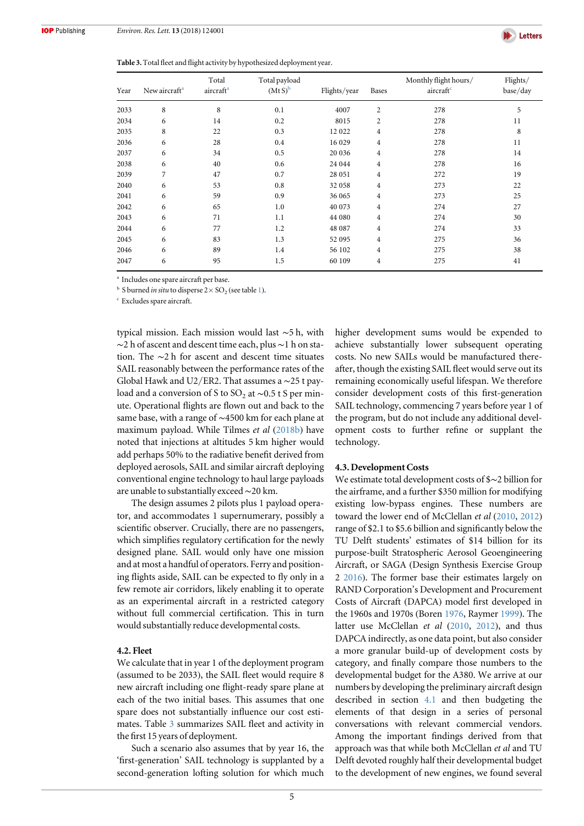

Table 3. Total fleet and flight activity by hypothesized deployment year.

| Year | New aircraft <sup>a</sup> | Total<br>aircraft <sup>a</sup> | Total payload<br>$(MtS)^b$ | Flights/year | <b>Bases</b>   | Monthly flight hours/<br>aircraft <sup>c</sup> | Flights/<br>base/day |
|------|---------------------------|--------------------------------|----------------------------|--------------|----------------|------------------------------------------------|----------------------|
| 2033 | 8                         | 8                              | 0.1                        | 4007         | $\overline{2}$ | 278                                            | 5                    |
| 2034 | 6                         | 14                             | 0.2                        | 8015         | $\overline{2}$ | 278                                            | 11                   |
| 2035 | 8                         | 22                             | 0.3                        | 12 022       | $\overline{4}$ | 278                                            | 8                    |
| 2036 | 6                         | 28                             | 0.4                        | 16 029       | $\overline{4}$ | 278                                            | 11                   |
| 2037 | 6                         | 34                             | 0.5                        | 20 036       | $\overline{4}$ | 278                                            | 14                   |
| 2038 | 6                         | 40                             | 0.6                        | 24 044       | $\overline{4}$ | 278                                            | 16                   |
| 2039 | 7                         | 47                             | 0.7                        | 28 051       | $\overline{4}$ | 272                                            | 19                   |
| 2040 | 6                         | 53                             | 0.8                        | 32 058       | $\overline{4}$ | 273                                            | 22                   |
| 2041 | 6                         | 59                             | 0.9                        | 36 065       | $\overline{4}$ | 273                                            | 25                   |
| 2042 | 6                         | 65                             | 1.0                        | 40 073       | 4              | 274                                            | 27                   |
| 2043 | 6                         | 71                             | 1.1                        | 44 080       | $\overline{4}$ | 274                                            | 30                   |
| 2044 | 6                         | 77                             | 1.2                        | 48 087       | 4              | 274                                            | 33                   |
| 2045 | 6                         | 83                             | 1.3                        | 52 095       | $\overline{4}$ | 275                                            | 36                   |
| 2046 | 6                         | 89                             | 1.4                        | 56 102       | 4              | 275                                            | 38                   |
| 2047 | 6                         | 95                             | 1.5                        | 60 109       | 4              | 275                                            | 41                   |

<sup>a</sup> Includes one spare aircraft per base.

<sup>b</sup> S burned *in situ* to disperse  $2 \times SO_2$  (see table [1](#page-2-0)).

<sup>c</sup> Excludes spare aircraft.

typical mission. Each mission would last ∼5 h, with ∼2 h of ascent and descent time each, plus ∼1 h on station. The ∼2 h for ascent and descent time situates SAIL reasonably between the performance rates of the Global Hawk and U2/ER2. That assumes a ∼25 t payload and a conversion of S to SO<sub>2</sub> at  $\sim$ 0.5 t S per minute. Operational flights are flown out and back to the same base, with a range of ∼4500 km for each plane at maximum payload. While Tilmes et al ([2018b](#page-11-0)) have noted that injections at altitudes 5 km higher would add perhaps 50% to the radiative benefit derived from deployed aerosols, SAIL and similar aircraft deploying conventional engine technology to haul large payloads are unable to substantially exceed∼20 km.

The design assumes 2 pilots plus 1 payload operator, and accommodates 1 supernumerary, possibly a scientific observer. Crucially, there are no passengers, which simplifies regulatory certification for the newly designed plane. SAIL would only have one mission and at most a handful of operators. Ferry and positioning flights aside, SAIL can be expected to fly only in a few remote air corridors, likely enabling it to operate as an experimental aircraft in a restricted category without full commercial certification. This in turn would substantially reduce developmental costs.

#### 4.2. Fleet

We calculate that in year 1 of the deployment program (assumed to be 2033), the SAIL fleet would require 8 new aircraft including one flight-ready spare plane at each of the two initial bases. This assumes that one spare does not substantially influence our cost estimates. Table 3 summarizes SAIL fleet and activity in the first 15 years of deployment.

Such a scenario also assumes that by year 16, the 'first-generation' SAIL technology is supplanted by a second-generation lofting solution for which much higher development sums would be expended to achieve substantially lower subsequent operating costs. No new SAILs would be manufactured thereafter, though the existing SAIL fleet would serve out its remaining economically useful lifespan. We therefore consider development costs of this first-generation SAIL technology, commencing 7 years before year 1 of the program, but do not include any additional development costs to further refine or supplant the technology.

#### 4.3. Development Costs

We estimate total development costs of \$∼2 billion for the airframe, and a further \$350 million for modifying existing low-bypass engines. These numbers are toward the lower end of McClellan et al ([2010](#page-10-0), [2012](#page-10-0)) range of \$2.1 to \$5.6 billion and significantly below the TU Delft students' estimates of \$14 billion for its purpose-built Stratospheric Aerosol Geoengineering Aircraft, or SAGA (Design Synthesis Exercise Group 2 [2016](#page-10-0)). The former base their estimates largely on RAND Corporation's Development and Procurement Costs of Aircraft (DAPCA) model first developed in the 1960s and 1970s (Boren [1976](#page-10-0), Raymer [1999](#page-11-0)). The latter use McClellan et al ([2010](#page-10-0), [2012](#page-10-0)), and thus DAPCA indirectly, as one data point, but also consider a more granular build-up of development costs by category, and finally compare those numbers to the developmental budget for the A380. We arrive at our numbers by developing the preliminary aircraft design described in section [4.1](#page-3-0) and then budgeting the elements of that design in a series of personal conversations with relevant commercial vendors. Among the important findings derived from that approach was that while both McClellan et al and TU Delft devoted roughly half their developmental budget to the development of new engines, we found several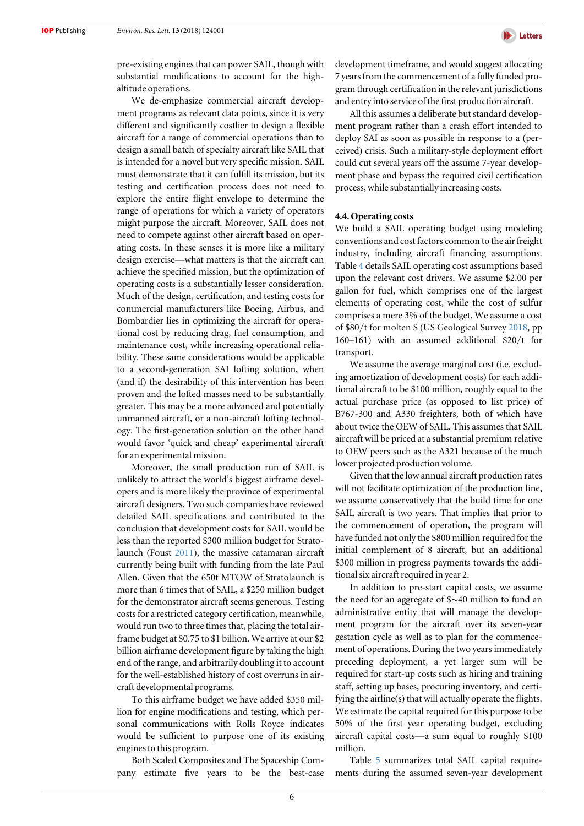

pre-existing engines that can power SAIL, though with substantial modifications to account for the highaltitude operations.

We de-emphasize commercial aircraft development programs as relevant data points, since it is very different and significantly costlier to design a flexible aircraft for a range of commercial operations than to design a small batch of specialty aircraft like SAIL that is intended for a novel but very specific mission. SAIL must demonstrate that it can fulfill its mission, but its testing and certification process does not need to explore the entire flight envelope to determine the range of operations for which a variety of operators might purpose the aircraft. Moreover, SAIL does not need to compete against other aircraft based on operating costs. In these senses it is more like a military design exercise—what matters is that the aircraft can achieve the specified mission, but the optimization of operating costs is a substantially lesser consideration. Much of the design, certification, and testing costs for commercial manufacturers like Boeing, Airbus, and Bombardier lies in optimizing the aircraft for operational cost by reducing drag, fuel consumption, and maintenance cost, while increasing operational reliability. These same considerations would be applicable to a second-generation SAI lofting solution, when (and if) the desirability of this intervention has been proven and the lofted masses need to be substantially greater. This may be a more advanced and potentially unmanned aircraft, or a non-aircraft lofting technology. The first-generation solution on the other hand would favor 'quick and cheap' experimental aircraft for an experimental mission.

Moreover, the small production run of SAIL is unlikely to attract the world's biggest airframe developers and is more likely the province of experimental aircraft designers. Two such companies have reviewed detailed SAIL specifications and contributed to the conclusion that development costs for SAIL would be less than the reported \$300 million budget for Stratolaunch (Foust [2011](#page-10-0)), the massive catamaran aircraft currently being built with funding from the late Paul Allen. Given that the 650t MTOW of Stratolaunch is more than 6 times that of SAIL, a \$250 million budget for the demonstrator aircraft seems generous. Testing costs for a restricted category certification, meanwhile, would run two to three times that, placing the total airframe budget at \$0.75 to \$1 billion. We arrive at our \$2 billion airframe development figure by taking the high end of the range, and arbitrarily doubling it to account for the well-established history of cost overruns in aircraft developmental programs.

To this airframe budget we have added \$350 million for engine modifications and testing, which personal communications with Rolls Royce indicates would be sufficient to purpose one of its existing engines to this program.

Both Scaled Composites and The Spaceship Company estimate five years to be the best-case development timeframe, and would suggest allocating 7 years from the commencement of a fully funded program through certification in the relevant jurisdictions and entry into service of the first production aircraft.

All this assumes a deliberate but standard development program rather than a crash effort intended to deploy SAI as soon as possible in response to a (perceived) crisis. Such a military-style deployment effort could cut several years off the assume 7-year development phase and bypass the required civil certification process, while substantially increasing costs.

#### 4.4. Operating costs

We build a SAIL operating budget using modeling conventions and cost factors common to the air freight industry, including aircraft financing assumptions. Table [4](#page-7-0) details SAIL operating cost assumptions based upon the relevant cost drivers. We assume \$2.00 per gallon for fuel, which comprises one of the largest elements of operating cost, while the cost of sulfur comprises a mere 3% of the budget. We assume a cost of \$80/t for molten S (US Geological Survey [2018,](#page-11-0) pp 160–161) with an assumed additional \$20/t for transport.

We assume the average marginal cost (i.e. excluding amortization of development costs) for each additional aircraft to be \$100 million, roughly equal to the actual purchase price (as opposed to list price) of B767-300 and A330 freighters, both of which have about twice the OEW of SAIL. This assumes that SAIL aircraft will be priced at a substantial premium relative to OEW peers such as the A321 because of the much lower projected production volume.

Given that the low annual aircraft production rates will not facilitate optimization of the production line, we assume conservatively that the build time for one SAIL aircraft is two years. That implies that prior to the commencement of operation, the program will have funded not only the \$800 million required for the initial complement of 8 aircraft, but an additional \$300 million in progress payments towards the additional six aircraft required in year 2.

In addition to pre-start capital costs, we assume the need for an aggregate of \$∼40 million to fund an administrative entity that will manage the development program for the aircraft over its seven-year gestation cycle as well as to plan for the commencement of operations. During the two years immediately preceding deployment, a yet larger sum will be required for start-up costs such as hiring and training staff, setting up bases, procuring inventory, and certifying the airline(s) that will actually operate the flights. We estimate the capital required for this purpose to be 50% of the first year operating budget, excluding aircraft capital costs—a sum equal to roughly \$100 million.

Table [5](#page-8-0) summarizes total SAIL capital requirements during the assumed seven-year development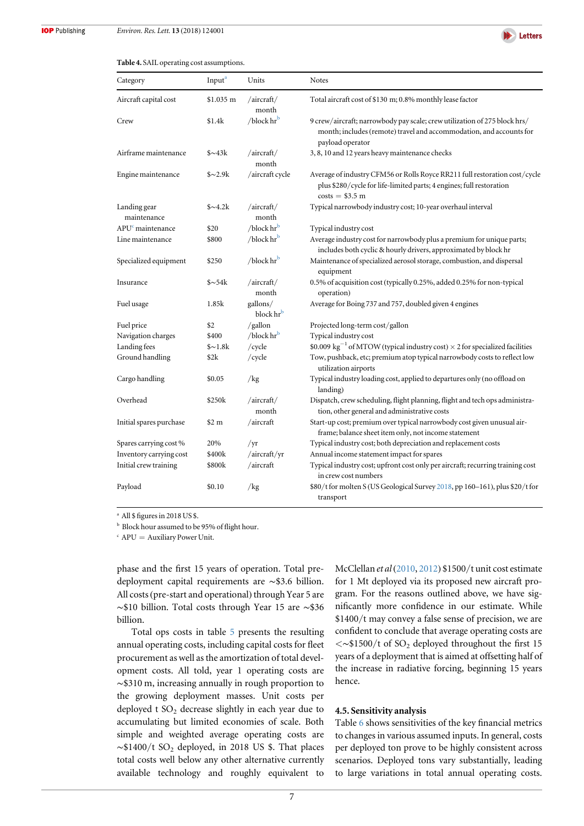

#### <span id="page-7-0"></span>Table 4. SAIL operating cost assumptions.

| Category                     | Input <sup>a</sup> | Units                             | <b>Notes</b>                                                                                                                                                           |
|------------------------------|--------------------|-----------------------------------|------------------------------------------------------------------------------------------------------------------------------------------------------------------------|
| Aircraft capital cost        | \$1.035 m          | /aircraft/<br>month               | Total aircraft cost of \$130 m; 0.8% monthly lease factor                                                                                                              |
| Crew                         | \$1.4k             | $/b$ lock hr $b$                  | 9 crew/aircraft; narrowbody pay scale; crew utilization of 275 block hrs/<br>month; includes (remote) travel and accommodation, and accounts for<br>payload operator   |
| Airframe maintenance         | $\frac{$243k}{ }$  | /aircraft/<br>month               | 3, 8, 10 and 12 years heavy maintenance checks                                                                                                                         |
| Engine maintenance           | $\frac{$2.9k}{ }$  | /aircraft cycle                   | Average of industry CFM56 or Rolls Royce RR211 full restoration cost/cycle<br>plus \$280/cycle for life-limited parts; 4 engines; full restoration<br>$costs = $3.5 m$ |
| Landing gear<br>maintenance  | $\frac{$2k}{4.2k}$ | /aircraft/<br>month               | Typical narrowbody industry cost; 10-year overhaul interval                                                                                                            |
| APU <sup>c</sup> maintenance | \$20               | / $block$ hr <sup>b</sup>         | Typical industry cost                                                                                                                                                  |
| Line maintenance             | \$800              | /block hr <sup>b</sup>            | Average industry cost for narrowbody plus a premium for unique parts;<br>includes both cyclic & hourly drivers, approximated by block hr                               |
| Specialized equipment        | \$250              | / $block$ hr <sup>b</sup>         | Maintenance of specialized aerosol storage, combustion, and dispersal<br>equipment                                                                                     |
| Insurance                    | $\frac{$254k}{ }$  | /aircraft/<br>month               | 0.5% of acquisition cost (typically 0.25%, added 0.25% for non-typical<br>operation)                                                                                   |
| Fuel usage                   | 1.85k              | gallons/<br>block hr <sup>b</sup> | Average for Boing 737 and 757, doubled given 4 engines                                                                                                                 |
| Fuel price                   | \$2                | /gallon                           | Projected long-term cost/gallon                                                                                                                                        |
| Navigation charges           | \$400              | /block hr <sup>b</sup>            | Typical industry cost                                                                                                                                                  |
| Landing fees                 | $\sim 1.8k$        | /cycle                            | \$0.009 kg <sup>-1</sup> of MTOW (typical industry cost) $\times$ 2 for specialized facilities                                                                         |
| Ground handling              | \$2k               | /cycle                            | Tow, pushback, etc; premium atop typical narrowbody costs to reflect low<br>utilization airports                                                                       |
| Cargo handling               | \$0.05             | /kg                               | Typical industry loading cost, applied to departures only (no offload on<br>landing)                                                                                   |
| Overhead                     | \$250k             | /aircraft/<br>month               | Dispatch, crew scheduling, flight planning, flight and tech ops administra-<br>tion, other general and administrative costs                                            |
| Initial spares purchase      | \$2 m              | /aircraft                         | Start-up cost; premium over typical narrowbody cost given unusual air-<br>frame; balance sheet item only, not income statement                                         |
| Spares carrying cost%        | 20%                | /yr                               | Typical industry cost; both depreciation and replacement costs                                                                                                         |
| Inventory carrying cost      | \$400k             | /aircraft/yr                      | Annual income statement impact for spares                                                                                                                              |
| Initial crew training        | \$800k             | /aircraft                         | Typical industry cost; upfront cost only per aircraft; recurring training cost<br>in crew cost numbers                                                                 |
| Payload                      | \$0.10             | /kg                               | \$80/t for molten S (US Geological Survey 2018, pp 160-161), plus \$20/t for<br>transport                                                                              |

<sup>a</sup> All \$ figures in 2018 US \$.

**b** Block hour assumed to be 95% of flight hour.

 $c$  APU = Auxiliary Power Unit.

phase and the first 15 years of operation. Total predeployment capital requirements are ∼\$3.6 billion. All costs(pre-start and operational) through Year 5 are ∼\$10 billion. Total costs through Year 15 are ∼\$36 billion.

Total ops costs in table [5](#page-8-0) presents the resulting annual operating costs, including capital costs for fleet procurement as well as the amortization of total development costs. All told, year 1 operating costs are ∼\$310 m, increasing annually in rough proportion to the growing deployment masses. Unit costs per deployed t  $SO<sub>2</sub>$  decrease slightly in each year due to accumulating but limited economies of scale. Both simple and weighted average operating costs are  $\sim$ \$1400/t SO<sub>2</sub> deployed, in 2018 US \$. That places total costs well below any other alternative currently available technology and roughly equivalent to McClellan et al ([2010](#page-10-0), [2012](#page-10-0)) \$1500/t unit cost estimate for 1 Mt deployed via its proposed new aircraft program. For the reasons outlined above, we have significantly more confidence in our estimate. While \$1400/t may convey a false sense of precision, we are confident to conclude that average operating costs are <∼\$1500/t of SO2 deployed throughout the first 15 years of a deployment that is aimed at offsetting half of the increase in radiative forcing, beginning 15 years hence.

#### 4.5. Sensitivity analysis

Table [6](#page-8-0) shows sensitivities of the key financial metrics to changes in various assumed inputs. In general, costs per deployed ton prove to be highly consistent across scenarios. Deployed tons vary substantially, leading to large variations in total annual operating costs.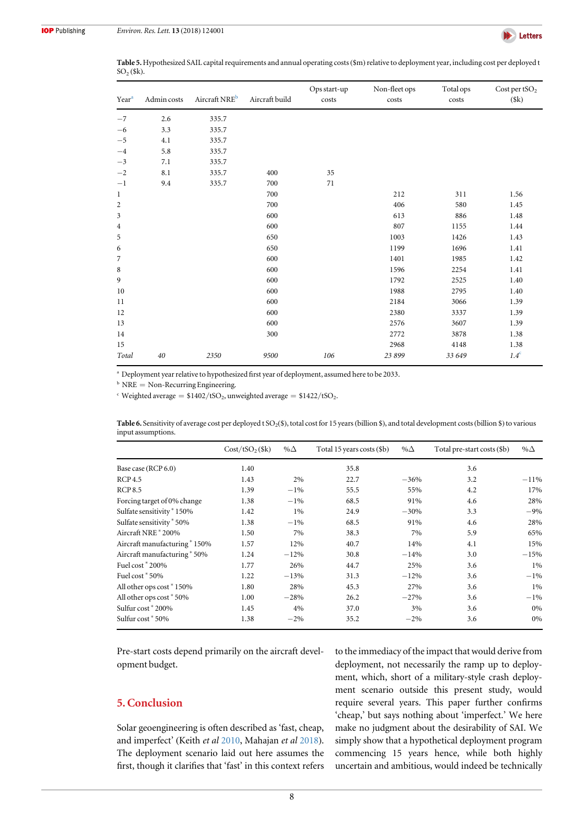<span id="page-8-0"></span>

Table 5. Hypothesized SAIL capital requirements and annual operating costs (\$m) relative to deployment year, including cost per deployed t  $SO<sub>2</sub>($ \$k).

| Year <sup>a</sup> | Admin costs | Aircraft NRE <sup>b</sup> | Aircraft build | Ops start-up<br>costs | Non-fleet ops<br>costs | Total ops<br>costs | Cost per t $SO2$<br>(\$k) |
|-------------------|-------------|---------------------------|----------------|-----------------------|------------------------|--------------------|---------------------------|
| $-7$              | 2.6         | 335.7                     |                |                       |                        |                    |                           |
| $-6$              | 3.3         | 335.7                     |                |                       |                        |                    |                           |
| $-5$              | 4.1         | 335.7                     |                |                       |                        |                    |                           |
| $-4$              | 5.8         | 335.7                     |                |                       |                        |                    |                           |
| $-3$              | 7.1         | 335.7                     |                |                       |                        |                    |                           |
| $-2$              | 8.1         | 335.7                     | 400            | 35                    |                        |                    |                           |
| $-1$              | 9.4         | 335.7                     | 700            | 71                    |                        |                    |                           |
| $\mathbf{1}$      |             |                           | 700            |                       | 212                    | 311                | 1.56                      |
| 2                 |             |                           | 700            |                       | 406                    | 580                | 1.45                      |
| 3                 |             |                           | 600            |                       | 613                    | 886                | 1.48                      |
| 4                 |             |                           | 600            |                       | 807                    | 1155               | 1.44                      |
| 5                 |             |                           | 650            |                       | 1003                   | 1426               | 1.43                      |
| 6                 |             |                           | 650            |                       | 1199                   | 1696               | 1.41                      |
| 7                 |             |                           | 600            |                       | 1401                   | 1985               | 1.42                      |
| $\,$ 8 $\,$       |             |                           | 600            |                       | 1596                   | 2254               | 1.41                      |
| 9                 |             |                           | 600            |                       | 1792                   | 2525               | 1.40                      |
| 10                |             |                           | 600            |                       | 1988                   | 2795               | 1.40                      |
| 11                |             |                           | 600            |                       | 2184                   | 3066               | 1.39                      |
| 12                |             |                           | 600            |                       | 2380                   | 3337               | 1.39                      |
| 13                |             |                           | 600            |                       | 2576                   | 3607               | 1.39                      |
| 14                |             |                           | 300            |                       | 2772                   | 3878               | 1.38                      |
| 15                |             |                           |                |                       | 2968                   | 4148               | 1.38                      |
| Total             | 40          | 2350                      | 9500           | 106                   | 23 899                 | 33 649             | 1.4 <sup>c</sup>          |

<sup>a</sup> Deployment year relative to hypothesized first year of deployment, assumed here to be 2033.

 $b$  NRE = Non-Recurring Engineering.

 $\cdot$  Weighted average =  $$1402/tSO_2$$  unweighted average =  $$1422/tSO_2$.$ 

| Table 6. Sensitivity of average cost per deployed t SO <sub>2</sub> (\$), total cost for 15 years (billion \$), and total development costs (billion \$) to various |
|---------------------------------------------------------------------------------------------------------------------------------------------------------------------|
| input assumptions.                                                                                                                                                  |

|                               | $Cost/tSO_2$ (\$k) | % $\Delta$ | Total 15 years costs (\$b) | % $\Delta$ | Total pre-start costs (\$b) | % $\Delta$ |
|-------------------------------|--------------------|------------|----------------------------|------------|-----------------------------|------------|
| Base case (RCP 6.0)           | 1.40               |            | 35.8                       |            | 3.6                         |            |
| RCP <sub>4.5</sub>            | 1.43               | 2%         | 22.7                       | $-36%$     | 3.2                         | $-11%$     |
| <b>RCP 8.5</b>                | 1.39               | $-1\%$     | 55.5                       | 55%        | 4.2                         | 17%        |
| Forcing target of 0% change   | 1.38               | $-1\%$     | 68.5                       | 91%        | 4.6                         | 28%        |
| Sulfate sensitivity * 150%    | 1.42               | $1\%$      | 24.9                       | $-30%$     | 3.3                         | $-9%$      |
| Sulfate sensitivity * 50%     | 1.38               | $-1\%$     | 68.5                       | 91%        | 4.6                         | 28%        |
| Aircraft NRE * 200%           | 1.50               | 7%         | 38.3                       | 7%         | 5.9                         | 65%        |
| Aircraft manufacturing * 150% | 1.57               | 12%        | 40.7                       | 14%        | 4.1                         | 15%        |
| Aircraft manufacturing * 50%  | 1.24               | $-12%$     | 30.8                       | $-14%$     | 3.0                         | $-15%$     |
| Fuel cost * 200%              | 1.77               | 26%        | 44.7                       | 25%        | 3.6                         | 1%         |
| Fuel cost * 50%               | 1.22               | $-13%$     | 31.3                       | $-12%$     | 3.6                         | $-1%$      |
| All other ops cost * 150%     | 1.80               | 28%        | 45.3                       | 27%        | 3.6                         | 1%         |
| All other ops cost * 50%      | 1.00               | $-28%$     | 26.2                       | $-27%$     | 3.6                         | $-1%$      |
| Sulfur cost * 200%            | 1.45               | 4%         | 37.0                       | 3%         | 3.6                         | 0%         |
| Sulfur cost * 50%             | 1.38               | $-2\%$     | 35.2                       | $-2\%$     | 3.6                         | 0%         |

Pre-start costs depend primarily on the aircraft development budget.

# 5. Conclusion

Solar geoengineering is often described as 'fast, cheap, and imperfect' (Keith et al [2010,](#page-10-0) Mahajan et al [2018](#page-10-0)). The deployment scenario laid out here assumes the first, though it clarifies that 'fast' in this context refers to the immediacy of the impact that would derive from deployment, not necessarily the ramp up to deployment, which, short of a military-style crash deployment scenario outside this present study, would require several years. This paper further confirms 'cheap,' but says nothing about 'imperfect.' We here make no judgment about the desirability of SAI. We simply show that a hypothetical deployment program commencing 15 years hence, while both highly uncertain and ambitious, would indeed be technically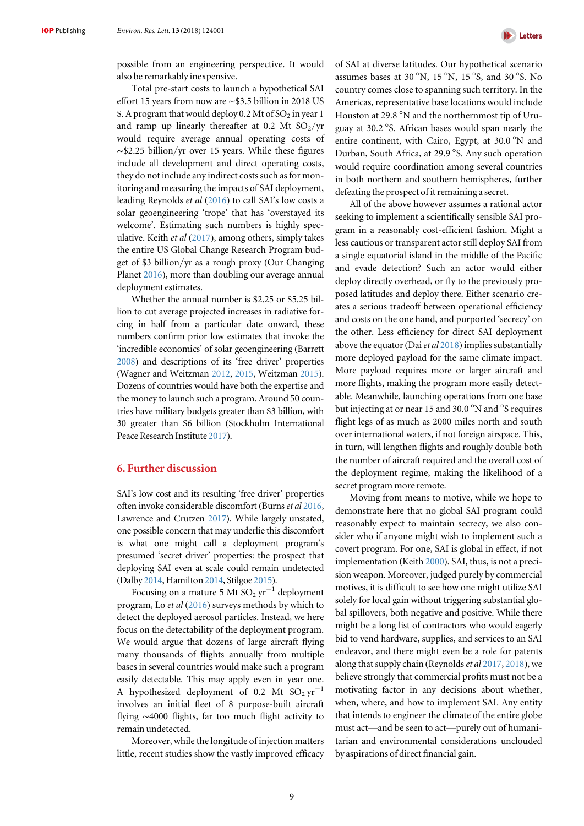

possible from an engineering perspective. It would also be remarkably inexpensive.

Total pre-start costs to launch a hypothetical SAI effort 15 years from now are ∼\$3.5 billion in 2018 US \$. A program that would deploy 0.2 Mt of  $SO_2$  in year 1 and ramp up linearly thereafter at 0.2 Mt  $SO_2/yr$ would require average annual operating costs of ∼\$2.25 billion/yr over 15 years. While these figures include all development and direct operating costs, they do not include any indirect costs such as for monitoring and measuring the impacts of SAI deployment, leading Reynolds et al ([2016](#page-11-0)) to call SAI's low costs a solar geoengineering 'trope' that has 'overstayed its welcome'. Estimating such numbers is highly speculative. Keith et al  $(2017)$  $(2017)$  $(2017)$ , among others, simply takes the entire US Global Change Research Program budget of \$3 billion/yr as a rough proxy (Our Changing Planet [2016](#page-10-0)), more than doubling our average annual deployment estimates.

Whether the annual number is \$2.25 or \$5.25 billion to cut average projected increases in radiative forcing in half from a particular date onward, these numbers confirm prior low estimates that invoke the 'incredible economics' of solar geoengineering (Barrett [2008](#page-10-0)) and descriptions of its 'free driver' properties (Wagner and Weitzman [2012](#page-11-0), [2015](#page-11-0), Weitzman [2015](#page-11-0)). Dozens of countries would have both the expertise and the money to launch such a program. Around 50 countries have military budgets greater than \$3 billion, with 30 greater than \$6 billion (Stockholm International Peace Research Institute [2017](#page-11-0)).

## 6. Further discussion

SAI's low cost and its resulting 'free driver' properties often invoke considerable discomfort (Burns et al [2016,](#page-10-0) Lawrence and Crutzen [2017](#page-10-0)). While largely unstated, one possible concern that may underlie this discomfort is what one might call a deployment program's presumed 'secret driver' properties: the prospect that deploying SAI even at scale could remain undetected (Dalby [2014](#page-10-0), Hamilton [2014](#page-10-0), Stilgoe [2015](#page-11-0)).

Focusing on a mature 5 Mt  $SO_2 \text{ yr}^{-1}$  deployment program, Lo et al ([2016](#page-10-0)) surveys methods by which to detect the deployed aerosol particles. Instead, we here focus on the detectability of the deployment program. We would argue that dozens of large aircraft flying many thousands of flights annually from multiple bases in several countries would make such a program easily detectable. This may apply even in year one. A hypothesized deployment of 0.2 Mt  $SO_2 \text{ yr}^{-1}$ involves an initial fleet of 8 purpose-built aircraft flying ∼4000 flights, far too much flight activity to remain undetected.

Moreover, while the longitude of injection matters little, recent studies show the vastly improved efficacy of SAI at diverse latitudes. Our hypothetical scenario assumes bases at 30 °N, 15 °N, 15 °S, and 30 °S. No country comes close to spanning such territory. In the Americas, representative base locations would include Houston at 29.8 °N and the northernmost tip of Uruguay at 30.2 °S. African bases would span nearly the entire continent, with Cairo, Egypt, at 30.0 °N and Durban, South Africa, at 29.9 °S. Any such operation would require coordination among several countries in both northern and southern hemispheres, further defeating the prospect of it remaining a secret.

All of the above however assumes a rational actor seeking to implement a scientifically sensible SAI program in a reasonably cost-efficient fashion. Might a less cautious or transparent actor still deploy SAI from a single equatorial island in the middle of the Pacific and evade detection? Such an actor would either deploy directly overhead, or fly to the previously proposed latitudes and deploy there. Either scenario creates a serious tradeoff between operational efficiency and costs on the one hand, and purported 'secrecy' on the other. Less efficiency for direct SAI deployment above the equator (Dai et al  $2018$ ) implies substantially more deployed payload for the same climate impact. More payload requires more or larger aircraft and more flights, making the program more easily detectable. Meanwhile, launching operations from one base but injecting at or near 15 and 30.0 °N and °S requires flight legs of as much as 2000 miles north and south over international waters, if not foreign airspace. This, in turn, will lengthen flights and roughly double both the number of aircraft required and the overall cost of the deployment regime, making the likelihood of a secret program more remote.

Moving from means to motive, while we hope to demonstrate here that no global SAI program could reasonably expect to maintain secrecy, we also consider who if anyone might wish to implement such a covert program. For one, SAI is global in effect, if not implementation (Keith [2000](#page-10-0)). SAI, thus, is not a precision weapon. Moreover, judged purely by commercial motives, it is difficult to see how one might utilize SAI solely for local gain without triggering substantial global spillovers, both negative and positive. While there might be a long list of contractors who would eagerly bid to vend hardware, supplies, and services to an SAI endeavor, and there might even be a role for patents along that supply chain (Reynolds  $et$  al [2017](#page-11-0), [2018](#page-11-0)), we believe strongly that commercial profits must not be a motivating factor in any decisions about whether, when, where, and how to implement SAI. Any entity that intends to engineer the climate of the entire globe must act—and be seen to act—purely out of humanitarian and environmental considerations unclouded by aspirations of direct financial gain.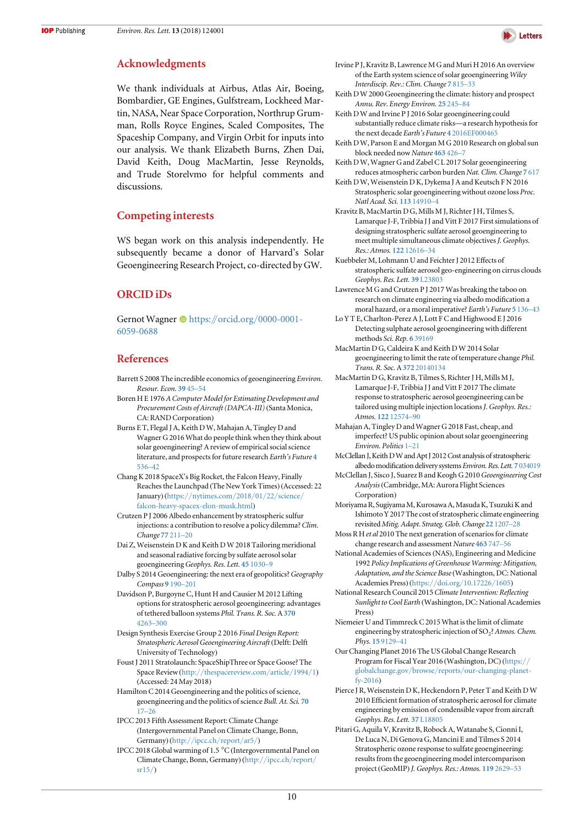## <span id="page-10-0"></span>Acknowledgments

We thank individuals at Airbus, Atlas Air, Boeing, Bombardier, GE Engines, Gulfstream, Lockheed Martin, NASA, Near Space Corporation, Northrup Grumman, Rolls Royce Engines, Scaled Composites, The Spaceship Company, and Virgin Orbit for inputs into our analysis. We thank Elizabeth Burns, Zhen Dai, David Keith, Doug MacMartin, Jesse Reynolds, and Trude Storelvmo for helpful comments and discussions.

## Competing interests

WS began work on this analysis independently. He subsequently became a donor of Harvard's Solar Geoengineering Research Project, co-directed by GW.

## ORCID iDs

Ge[r](https://orcid.org/0000-0001-6059-0688)not Wagner <sup>to</sup> [https:](https://orcid.org/0000-0001-6059-0688)//orcid.org/[0000-0001-](https://orcid.org/0000-0001-6059-0688) [6059-0688](https://orcid.org/0000-0001-6059-0688)

## References

- Barrett S 2008 The incredible economics of geoengineering Environ. Resour. Econ. [39](https://doi.org/10.1007/s10640-007-9174-8) 45–54
- Boren H E 1976 A Computer Model for Estimating Development and Procurement Costs of Aircraft (DAPCA-III)(Santa Monica, CA: RAND Corporation)
- Burns E T, Flegal J A, Keith D W, Mahajan A, Tingley D and Wagner G 2016 What do people think when they think about solar geoengineering? A review of empirical social science literature, and prospects for future research Earth's Future [4](https://doi.org/10.1002/2016EF000461) [536](https://doi.org/10.1002/2016EF000461)–42
- Chang K 2018 SpaceX's Big Rocket, the Falcon Heavy, Finally Reaches the Launchpad (The New York Times) (Accessed: 22 January) (https://[nytimes.com](https://nytimes.com/2018/01/22/science/falcon-heavy-spacex-elon-musk.html)/2018/01/22/science/ [falcon-heavy-spacex-elon-musk.html](https://nytimes.com/2018/01/22/science/falcon-heavy-spacex-elon-musk.html))
- Crutzen P J 2006 Albedo enhancement by stratospheric sulfur injections: a contribution to resolve a policy dilemma? Clim. Change 77 [211](https://doi.org/10.1007/s10584-006-9101-y)–20
- Dai Z, Weisenstein D K and Keith D W 2018 Tailoring meridional and seasonal radiative forcing by sulfate aerosol solar geoengineeringGeophys. Res. Lett. 45 [1030](https://doi.org/10.1002/2017GL076472)–9
- Dalby S 2014 Geoengineering: the next era of geopolitics?Geography Compass 9 [190](https://doi.org/10.1111/gec3.12195)–201
- Davidson P, Burgoyne C, Hunt H and Causier M 2012 Lifting options for stratospheric aerosol geoengineering: advantages of tethered balloon systems Phil. Trans. R. Soc.A [370](https://doi.org/10.1098/rsta.2011.0639) [4263](https://doi.org/10.1098/rsta.2011.0639)–300
- Design Synthesis Exercise Group 2 2016 Final Design Report: Stratospheric Aerosol Geoengineering Aircraft (Delft: Delft University of Technology)
- Foust J 2011 Stratolaunch: SpaceShipThree or Space Goose? The Space Review(http://[thespacereview.com](http://thespacereview.com/article/1994/1)/article/1994/1) (Accessed: 24 May 2018)
- Hamilton C 2014 Geoengineering and the politics of science, geoengineering and the politics of science Bull. At. Sci. [70](https://doi.org/10.1177/0096340214531173) [17](https://doi.org/10.1177/0096340214531173)–[26](https://doi.org/10.1177/0096340214531173)
- IPCC 2013 Fifth Assessment Report: Climate Change (Intergovernmental Panel on Climate Change, Bonn, Germany) ([http:](http://ipcc.ch/report/ar5/)//[ipcc.ch](http://ipcc.ch/report/ar5/)/report/ar5/)
- IPCC 2018 Global warming of 1.5 °C(Intergovernmental Panel on Climate Change, Bonn, Germany) ([http:](http://ipcc.ch/report/sr15/)//[ipcc.ch](http://ipcc.ch/report/sr15/)/report/ [sr15](http://ipcc.ch/report/sr15/)/)



- Irvine P J, Kravitz B, Lawrence M G and Muri H 2016 An overview of the Earth system science of solar geoengineering Wiley Interdiscip. Rev.: Clim. Change 7 [815](https://doi.org/10.1002/wcc.423)–33
- Keith D W 2000 Geoengineering the climate: history and prospect Annu. Rev. Energy Environ. 25 [245](https://doi.org/10.1146/annurev.energy.25.1.245)–84
- Keith D W and Irvine P J 2016 Solar geoengineering could substantially reduce climate risks—a research hypothesis for the next decade Earth's Future 4 [2016EF000465](https://doi.org/10.1002/2016EF000465)
- Keith D W, Parson E and Morgan M G 2010 Research on global sun block needed now Nature [463](https://doi.org/10.1038/463426a) 426–7
- Keith D W, Wagner G and Zabel C L 2017 Solar geoengineering reduces atmospheric carbon burden Nat. Clim. Change 7 [617](https://doi.org/10.1038/nclimate3376)
- Keith D W, Weisenstein D K, Dykema J A and Keutsch F N 2016 Stratospheric solar geoengineering without ozone loss Proc. Natl Acad. Sci. 113 [14910](https://doi.org/10.1073/pnas.1615572113)–4
- Kravitz B, MacMartin D G, Mills M J, Richter J H, Tilmes S, Lamarque J-F, Tribbia J J and Vitt F 2017 First simulations of designing stratospheric sulfate aerosol geoengineering to meet multiple simultaneous climate objectives J. Geophys. Res.: Atmos. 122 [12616](https://doi.org/10.1002/2017JD026874)–34
- Kuebbeler M, Lohmann U and Feichter J 2012 Effects of stratospheric sulfate aerosol geo-engineering on cirrus clouds Geophys. Res. Lett. 39 [L23803](https://doi.org/10.1029/2012GL053797)
- Lawrence M G and Crutzen P J 2017 Was breaking the taboo on research on climate engineering via albedo modification a moral hazard, or a moral imperative? Earth's Future 5 [136](https://doi.org/10.1002/2016EF000463)–43
- Lo Y T E, Charlton-Perez A J, Lott F C and Highwood E J 2016 Detecting sulphate aerosol geoengineering with different methods Sci. Rep. 6 [39169](https://doi.org/10.1038/srep39169)
- MacMartin D G, Caldeira K and Keith D W 2014 Solar geoengineering to limit the rate of temperature change Phil. Trans. R. Soc. A 372 [20140134](https://doi.org/10.1098/rsta.2014.0134)
- MacMartin D G, Kravitz B, Tilmes S, Richter J H, Mills M J, Lamarque J-F, Tribbia J J and Vitt F 2017 The climate response to stratospheric aerosol geoengineering can be tailored using multiple injection locations J. Geophys. Res.: Atmos. 122 [12574](https://doi.org/10.1002/2017JD026868)–90
- Mahajan A, Tingley D and Wagner G 2018 Fast, cheap, and imperfect? US public opinion about solar geoengineering Environ. Politics 1–[21](https://doi.org/10.1080/09644016.2018.1479101)
- McClellan J, Keith DW and Apt J 2012 Cost analysis of stratospheric albedo modification delivery systems Environ. Res. Lett. 7 [034019](https://doi.org/10.1088/1748-9326/7/3/034019)
- McClellan J, Sisco J, Suarez B and Keogh G 2010 Geoengineering Cost Analysis(Cambridge, MA: Aurora Flight Sciences Corporation)
- Moriyama R, SugiyamaM, Kurosawa A,Masuda K, Tsuzuki K and Ishimoto Y 2017 The cost of stratospheric climate engineering revisited Mitig. Adapt. Strateg. Glob. Change 22 [1207](https://doi.org/10.1007/s11027-016-9723-y)–28
- Moss R H et al 2010 The next generation of scenarios for climate change research and assessment Nature [463](https://doi.org/10.1038/nature08823) 747–56
- National Academies of Sciences(NAS), Engineering and Medicine 1992 Policy Implications of Greenhouse Warming: Mitigation, Adaptation, and the Science Base(Washington, DC: National Academies Press) (https://doi.org/[10.17226](https://doi.org/10.17226/1605)/1605)
- National Research Council 2015 Climate Intervention: Reflecting Sunlight to Cool Earth (Washington, DC: National Academies Press)
- Niemeier U and Timmreck C 2015 What is the limit of climate engineering by stratospheric injection of SO<sub>2</sub>? Atmos. Chem. Phys. 15 [9129](https://doi.org/10.5194/acp-15-9129-2015)–41
- Our Changing Planet 2016 The US Global Change Research Program for Fiscal Year 2016 (Washington, DC) ([https:](https://www.globalchange.gov/browse/reports/our-changing-planet-fy-2016)// globalchange.gov/browse/reports/[our-changing-planet](https://www.globalchange.gov/browse/reports/our-changing-planet-fy-2016)[fy-2016](https://www.globalchange.gov/browse/reports/our-changing-planet-fy-2016))
- Pierce J R, Weisenstein D K, Heckendorn P, Peter T and Keith D W 2010 Efficient formation of stratospheric aerosol for climate engineering by emission of condensible vapor from aircraft Geophys. Res. Lett. 37 [L18805](https://doi.org/10.1029/2010GL043975)
- Pitari G, Aquila V, Kravitz B, Robock A, Watanabe S, Cionni I, De Luca N, Di Genova G, Mancini E and Tilmes S 2014 Stratospheric ozone response to sulfate geoengineering: results from the geoengineering model intercomparison project(GeoMIP) J. Geophys. Res.: Atmos. 119 [2629](https://doi.org/10.1002/2013JD020566)–53